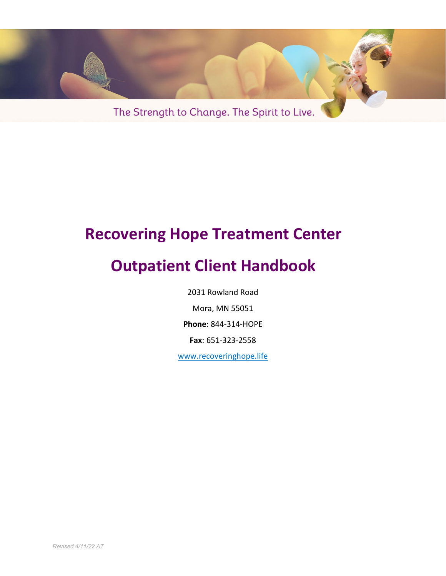

# **Recovering Hope Treatment Center**

# **Outpatient Client Handbook**

2031 Rowland Road

Mora, MN 55051

**Phone**: 844-314-HOPE

**Fax**: 651-323-2558

www.recoveringhope.life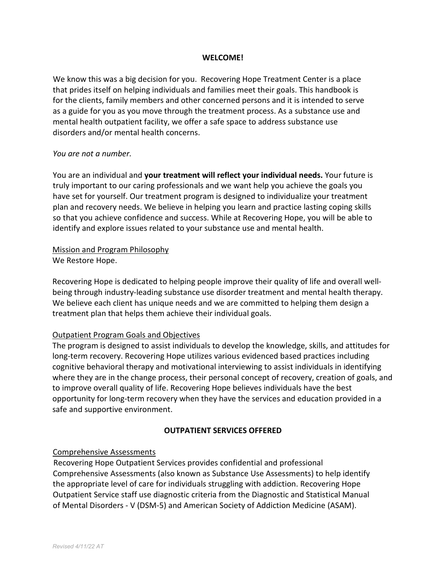### **WELCOME!**

We know this was a big decision for you. Recovering Hope Treatment Center is a place that prides itself on helping individuals and families meet their goals. This handbook is for the clients, family members and other concerned persons and it is intended to serve as a guide for you as you move through the treatment process. As a substance use and mental health outpatient facility, we offer a safe space to address substance use disorders and/or mental health concerns.

### *You are not a number.*

You are an individual and **your treatment will reflect your individual needs.** Your future is truly important to our caring professionals and we want help you achieve the goals you have set for yourself. Our treatment program is designed to individualize your treatment plan and recovery needs. We believe in helping you learn and practice lasting coping skills so that you achieve confidence and success. While at Recovering Hope, you will be able to identify and explore issues related to your substance use and mental health.

### Mission and Program Philosophy We Restore Hope.

Recovering Hope is dedicated to helping people improve their quality of life and overall wellbeing through industry-leading substance use disorder treatment and mental health therapy. We believe each client has unique needs and we are committed to helping them design a treatment plan that helps them achieve their individual goals.

# Outpatient Program Goals and Objectives

The program is designed to assist individuals to develop the knowledge, skills, and attitudes for long-term recovery. Recovering Hope utilizes various evidenced based practices including cognitive behavioral therapy and motivational interviewing to assist individuals in identifying where they are in the change process, their personal concept of recovery, creation of goals, and to improve overall quality of life. Recovering Hope believes individuals have the best opportunity for long-term recovery when they have the services and education provided in a safe and supportive environment.

# **OUTPATIENT SERVICES OFFERED**

# Comprehensive Assessments

Recovering Hope Outpatient Services provides confidential and professional Comprehensive Assessments (also known as Substance Use Assessments) to help identify the appropriate level of care for individuals struggling with addiction. Recovering Hope Outpatient Service staff use diagnostic criteria from the Diagnostic and Statistical Manual of Mental Disorders - V (DSM-5) and American Society of Addiction Medicine (ASAM).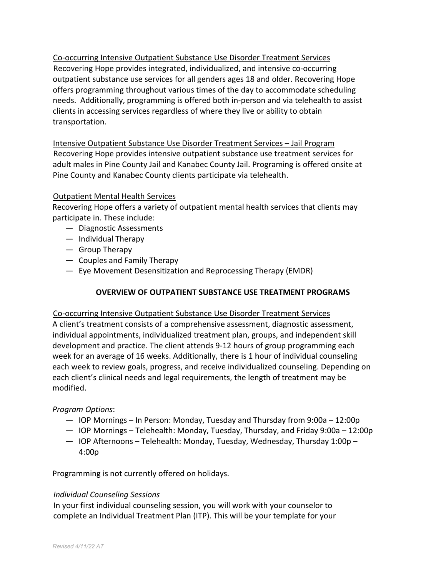Co-occurring Intensive Outpatient Substance Use Disorder Treatment Services Recovering Hope provides integrated, individualized, and intensive co-occurring outpatient substance use services for all genders ages 18 and older. Recovering Hope offers programming throughout various times of the day to accommodate scheduling needs. Additionally, programming is offered both in-person and via telehealth to assist clients in accessing services regardless of where they live or ability to obtain transportation.

Intensive Outpatient Substance Use Disorder Treatment Services – Jail Program Recovering Hope provides intensive outpatient substance use treatment services for adult males in Pine County Jail and Kanabec County Jail. Programing is offered onsite at Pine County and Kanabec County clients participate via telehealth.

# Outpatient Mental Health Services

Recovering Hope offers a variety of outpatient mental health services that clients may participate in. These include:

- Diagnostic Assessments
- Individual Therapy
- Group Therapy
- Couples and Family Therapy
- Eye Movement Desensitization and Reprocessing Therapy (EMDR)

# **OVERVIEW OF OUTPATIENT SUBSTANCE USE TREATMENT PROGRAMS**

# Co-occurring Intensive Outpatient Substance Use Disorder Treatment Services

A client's treatment consists of a comprehensive assessment, diagnostic assessment, individual appointments, individualized treatment plan, groups, and independent skill development and practice. The client attends 9-12 hours of group programming each week for an average of 16 weeks. Additionally, there is 1 hour of individual counseling each week to review goals, progress, and receive individualized counseling. Depending on each client's clinical needs and legal requirements, the length of treatment may be modified.

# *Program Options*:

- IOP Mornings In Person: Monday, Tuesday and Thursday from 9:00a 12:00p
- IOP Mornings Telehealth: Monday, Tuesday, Thursday, and Friday 9:00a 12:00p
- IOP Afternoons Telehealth: Monday, Tuesday, Wednesday, Thursday 1:00p 4:00p

Programming is not currently offered on holidays.

# *Individual Counseling Sessions*

In your first individual counseling session, you will work with your counselor to complete an Individual Treatment Plan (ITP). This will be your template for your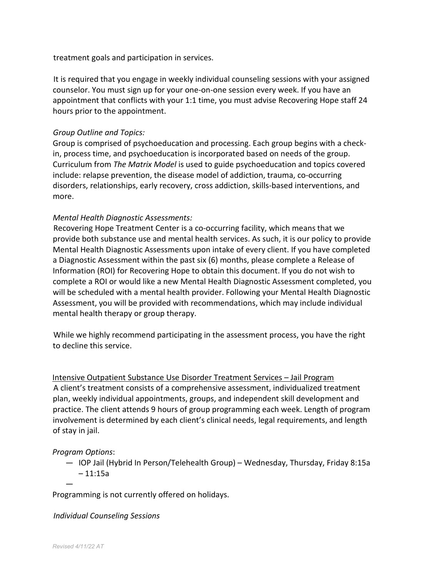treatment goals and participation in services.

It is required that you engage in weekly individual counseling sessions with your assigned counselor. You must sign up for your one-on-one session every week. If you have an appointment that conflicts with your 1:1 time, you must advise Recovering Hope staff 24 hours prior to the appointment.

# *Group Outline and Topics:*

Group is comprised of psychoeducation and processing. Each group begins with a checkin, process time, and psychoeducation is incorporated based on needs of the group. Curriculum from *The Matrix Model* is used to guide psychoeducation and topics covered include: relapse prevention, the disease model of addiction, trauma, co-occurring disorders, relationships, early recovery, cross addiction, skills-based interventions, and more.

# *Mental Health Diagnostic Assessments:*

Recovering Hope Treatment Center is a co-occurring facility, which means that we provide both substance use and mental health services. As such, it is our policy to provide Mental Health Diagnostic Assessments upon intake of every client. If you have completed a Diagnostic Assessment within the past six (6) months, please complete a Release of Information (ROI) for Recovering Hope to obtain this document. If you do not wish to complete a ROI or would like a new Mental Health Diagnostic Assessment completed, you will be scheduled with a mental health provider. Following your Mental Health Diagnostic Assessment, you will be provided with recommendations, which may include individual mental health therapy or group therapy.

While we highly recommend participating in the assessment process, you have the right to decline this service.

Intensive Outpatient Substance Use Disorder Treatment Services – Jail Program A client's treatment consists of a comprehensive assessment, individualized treatment plan, weekly individual appointments, groups, and independent skill development and practice. The client attends 9 hours of group programming each week. Length of program involvement is determined by each client's clinical needs, legal requirements, and length of stay in jail.

# *Program Options*:

—

— IOP Jail (Hybrid In Person/Telehealth Group) – Wednesday, Thursday, Friday 8:15a  $-11:15a$ 

Programming is not currently offered on holidays.

# *Individual Counseling Sessions*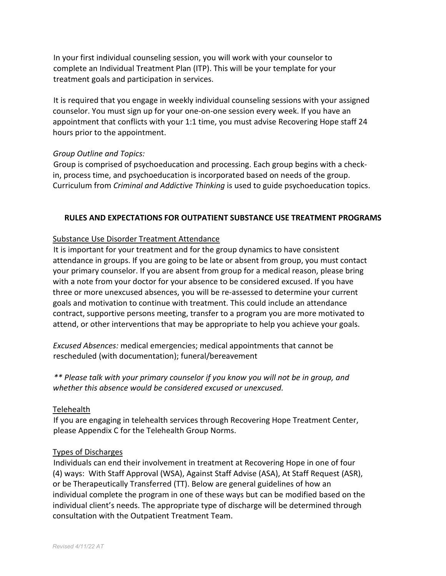In your first individual counseling session, you will work with your counselor to complete an Individual Treatment Plan (ITP). This will be your template for your treatment goals and participation in services.

It is required that you engage in weekly individual counseling sessions with your assigned counselor. You must sign up for your one-on-one session every week. If you have an appointment that conflicts with your 1:1 time, you must advise Recovering Hope staff 24 hours prior to the appointment.

# *Group Outline and Topics:*

Group is comprised of psychoeducation and processing. Each group begins with a checkin, process time, and psychoeducation is incorporated based on needs of the group. Curriculum from *Criminal and Addictive Thinking* is used to guide psychoeducation topics.

# **RULES AND EXPECTATIONS FOR OUTPATIENT SUBSTANCE USE TREATMENT PROGRAMS**

# Substance Use Disorder Treatment Attendance

It is important for your treatment and for the group dynamics to have consistent attendance in groups. If you are going to be late or absent from group, you must contact your primary counselor. If you are absent from group for a medical reason, please bring with a note from your doctor for your absence to be considered excused. If you have three or more unexcused absences, you will be re-assessed to determine your current goals and motivation to continue with treatment. This could include an attendance contract, supportive persons meeting, transfer to a program you are more motivated to attend, or other interventions that may be appropriate to help you achieve your goals.

*Excused Absences:* medical emergencies; medical appointments that cannot be rescheduled (with documentation); funeral/bereavement

*\*\* Please talk with your primary counselor if you know you will not be in group, and whether this absence would be considered excused or unexcused.* 

# Telehealth

If you are engaging in telehealth services through Recovering Hope Treatment Center, please Appendix C for the Telehealth Group Norms.

# Types of Discharges

Individuals can end their involvement in treatment at Recovering Hope in one of four (4) ways: With Staff Approval (WSA), Against Staff Advise (ASA), At Staff Request (ASR), or be Therapeutically Transferred (TT). Below are general guidelines of how an individual complete the program in one of these ways but can be modified based on the individual client's needs. The appropriate type of discharge will be determined through consultation with the Outpatient Treatment Team.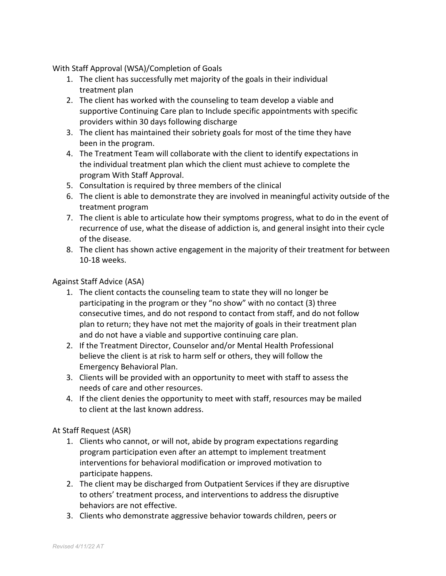With Staff Approval (WSA)/Completion of Goals

- 1. The client has successfully met majority of the goals in their individual treatment plan
- 2. The client has worked with the counseling to team develop a viable and supportive Continuing Care plan to Include specific appointments with specific providers within 30 days following discharge
- 3. The client has maintained their sobriety goals for most of the time they have been in the program.
- 4. The Treatment Team will collaborate with the client to identify expectations in the individual treatment plan which the client must achieve to complete the program With Staff Approval.
- 5. Consultation is required by three members of the clinical
- 6. The client is able to demonstrate they are involved in meaningful activity outside of the treatment program
- 7. The client is able to articulate how their symptoms progress, what to do in the event of recurrence of use, what the disease of addiction is, and general insight into their cycle of the disease.
- 8. The client has shown active engagement in the majority of their treatment for between 10-18 weeks.

# Against Staff Advice (ASA)

- 1. The client contacts the counseling team to state they will no longer be participating in the program or they "no show" with no contact (3) three consecutive times, and do not respond to contact from staff, and do not follow plan to return; they have not met the majority of goals in their treatment plan and do not have a viable and supportive continuing care plan.
- 2. If the Treatment Director, Counselor and/or Mental Health Professional believe the client is at risk to harm self or others, they will follow the Emergency Behavioral Plan.
- 3. Clients will be provided with an opportunity to meet with staff to assess the needs of care and other resources.
- 4. If the client denies the opportunity to meet with staff, resources may be mailed to client at the last known address.

# At Staff Request (ASR)

- 1. Clients who cannot, or will not, abide by program expectations regarding program participation even after an attempt to implement treatment interventions for behavioral modification or improved motivation to participate happens.
- 2. The client may be discharged from Outpatient Services if they are disruptive to others' treatment process, and interventions to address the disruptive behaviors are not effective.
- 3. Clients who demonstrate aggressive behavior towards children, peers or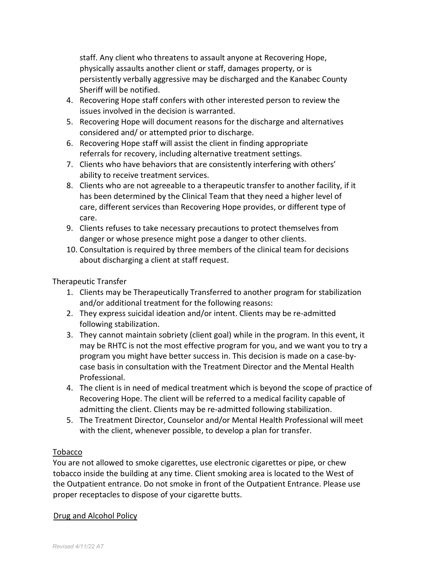staff. Any client who threatens to assault anyone at Recovering Hope, physically assaults another client or staff, damages property, or is persistently verbally aggressive may be discharged and the Kanabec County Sheriff will be notified.

- 4. Recovering Hope staff confers with other interested person to review the issues involved in the decision is warranted.
- 5. Recovering Hope will document reasons for the discharge and alternatives considered and/ or attempted prior to discharge.
- 6. Recovering Hope staff will assist the client in finding appropriate referrals for recovery, including alternative treatment settings.
- 7. Clients who have behaviors that are consistently interfering with others' ability to receive treatment services.
- 8. Clients who are not agreeable to a therapeutic transfer to another facility, if it has been determined by the Clinical Team that they need a higher level of care, different services than Recovering Hope provides, or different type of care.
- 9. Clients refuses to take necessary precautions to protect themselves from danger or whose presence might pose a danger to other clients.
- 10. Consultation is required by three members of the clinical team for decisions about discharging a client at staff request.

# Therapeutic Transfer

- 1. Clients may be Therapeutically Transferred to another program for stabilization and/or additional treatment for the following reasons:
- 2. They express suicidal ideation and/or intent. Clients may be re-admitted following stabilization.
- 3. They cannot maintain sobriety (client goal) while in the program. In this event, it may be RHTC is not the most effective program for you, and we want you to try a program you might have better success in. This decision is made on a case-bycase basis in consultation with the Treatment Director and the Mental Health Professional.
- 4. The client is in need of medical treatment which is beyond the scope of practice of Recovering Hope. The client will be referred to a medical facility capable of admitting the client. Clients may be re-admitted following stabilization.
- 5. The Treatment Director, Counselor and/or Mental Health Professional will meet with the client, whenever possible, to develop a plan for transfer.

# Tobacco

You are not allowed to smoke cigarettes, use electronic cigarettes or pipe, or chew tobacco inside the building at any time. Client smoking area is located to the West of the Outpatient entrance. Do not smoke in front of the Outpatient Entrance. Please use proper receptacles to dispose of your cigarette butts.

# Drug and Alcohol Policy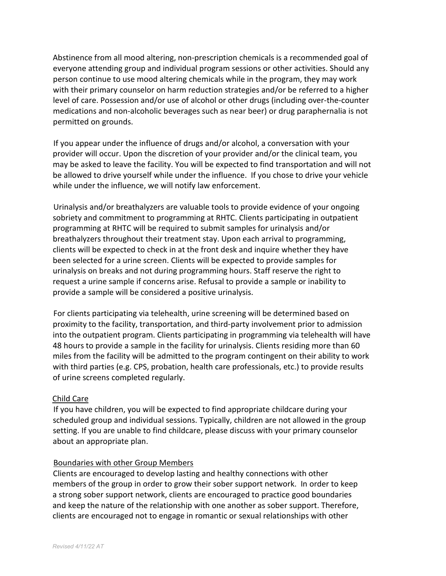Abstinence from all mood altering, non-prescription chemicals is a recommended goal of everyone attending group and individual program sessions or other activities. Should any person continue to use mood altering chemicals while in the program, they may work with their primary counselor on harm reduction strategies and/or be referred to a higher level of care. Possession and/or use of alcohol or other drugs (including over-the-counter medications and non-alcoholic beverages such as near beer) or drug paraphernalia is not permitted on grounds.

If you appear under the influence of drugs and/or alcohol, a conversation with your provider will occur. Upon the discretion of your provider and/or the clinical team, you may be asked to leave the facility. You will be expected to find transportation and will not be allowed to drive yourself while under the influence. If you chose to drive your vehicle while under the influence, we will notify law enforcement.

Urinalysis and/or breathalyzers are valuable tools to provide evidence of your ongoing sobriety and commitment to programming at RHTC. Clients participating in outpatient programming at RHTC will be required to submit samples for urinalysis and/or breathalyzers throughout their treatment stay. Upon each arrival to programming, clients will be expected to check in at the front desk and inquire whether they have been selected for a urine screen. Clients will be expected to provide samples for urinalysis on breaks and not during programming hours. Staff reserve the right to request a urine sample if concerns arise. Refusal to provide a sample or inability to provide a sample will be considered a positive urinalysis.

For clients participating via telehealth, urine screening will be determined based on proximity to the facility, transportation, and third-party involvement prior to admission into the outpatient program. Clients participating in programming via telehealth will have 48 hours to provide a sample in the facility for urinalysis. Clients residing more than 60 miles from the facility will be admitted to the program contingent on their ability to work with third parties (e.g. CPS, probation, health care professionals, etc.) to provide results of urine screens completed regularly.

# Child Care

If you have children, you will be expected to find appropriate childcare during your scheduled group and individual sessions. Typically, children are not allowed in the group setting. If you are unable to find childcare, please discuss with your primary counselor about an appropriate plan.

# Boundaries with other Group Members

Clients are encouraged to develop lasting and healthy connections with other members of the group in order to grow their sober support network. In order to keep a strong sober support network, clients are encouraged to practice good boundaries and keep the nature of the relationship with one another as sober support. Therefore, clients are encouraged not to engage in romantic or sexual relationships with other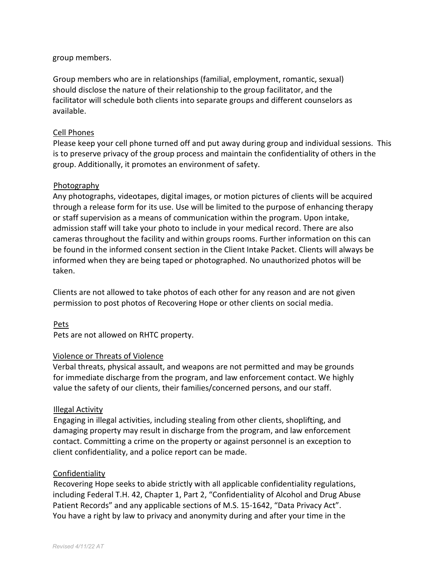group members.

Group members who are in relationships (familial, employment, romantic, sexual) should disclose the nature of their relationship to the group facilitator, and the facilitator will schedule both clients into separate groups and different counselors as available.

### Cell Phones

Please keep your cell phone turned off and put away during group and individual sessions. This is to preserve privacy of the group process and maintain the confidentiality of others in the group. Additionally, it promotes an environment of safety.

### Photography

Any photographs, videotapes, digital images, or motion pictures of clients will be acquired through a release form for its use. Use will be limited to the purpose of enhancing therapy or staff supervision as a means of communication within the program. Upon intake, admission staff will take your photo to include in your medical record. There are also cameras throughout the facility and within groups rooms. Further information on this can be found in the informed consent section in the Client Intake Packet. Clients will always be informed when they are being taped or photographed. No unauthorized photos will be taken.

Clients are not allowed to take photos of each other for any reason and are not given permission to post photos of Recovering Hope or other clients on social media.

Pets

Pets are not allowed on RHTC property.

# Violence or Threats of Violence

Verbal threats, physical assault, and weapons are not permitted and may be grounds for immediate discharge from the program, and law enforcement contact. We highly value the safety of our clients, their families/concerned persons, and our staff.

# Illegal Activity

Engaging in illegal activities, including stealing from other clients, shoplifting, and damaging property may result in discharge from the program, and law enforcement contact. Committing a crime on the property or against personnel is an exception to client confidentiality, and a police report can be made.

### Confidentiality

Recovering Hope seeks to abide strictly with all applicable confidentiality regulations, including Federal T.H. 42, Chapter 1, Part 2, "Confidentiality of Alcohol and Drug Abuse Patient Records" and any applicable sections of M.S. 15-1642, "Data Privacy Act". You have a right by law to privacy and anonymity during and after your time in the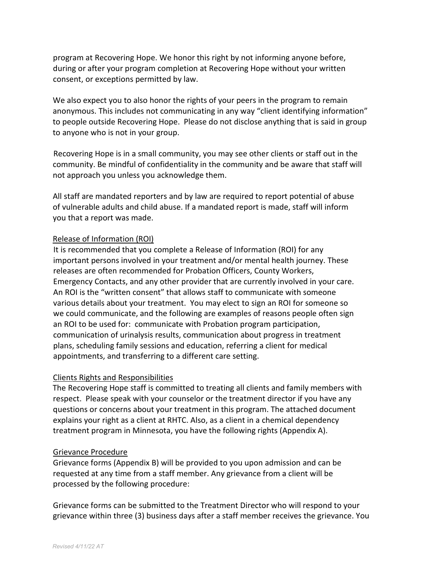program at Recovering Hope. We honor this right by not informing anyone before, during or after your program completion at Recovering Hope without your written consent, or exceptions permitted by law.

We also expect you to also honor the rights of your peers in the program to remain anonymous. This includes not communicating in any way "client identifying information" to people outside Recovering Hope. Please do not disclose anything that is said in group to anyone who is not in your group.

Recovering Hope is in a small community, you may see other clients or staff out in the community. Be mindful of confidentiality in the community and be aware that staff will not approach you unless you acknowledge them.

All staff are mandated reporters and by law are required to report potential of abuse of vulnerable adults and child abuse. If a mandated report is made, staff will inform you that a report was made.

# Release of Information (ROI)

It is recommended that you complete a Release of Information (ROI) for any important persons involved in your treatment and/or mental health journey. These releases are often recommended for Probation Officers, County Workers, Emergency Contacts, and any other provider that are currently involved in your care. An ROI is the "written consent" that allows staff to communicate with someone various details about your treatment. You may elect to sign an ROI for someone so we could communicate, and the following are examples of reasons people often sign an ROI to be used for: communicate with Probation program participation, communication of urinalysis results, communication about progress in treatment plans, scheduling family sessions and education, referring a client for medical appointments, and transferring to a different care setting.

# Clients Rights and Responsibilities

The Recovering Hope staff is committed to treating all clients and family members with respect. Please speak with your counselor or the treatment director if you have any questions or concerns about your treatment in this program. The attached document explains your right as a client at RHTC. Also, as a client in a chemical dependency treatment program in Minnesota, you have the following rights (Appendix A).

# Grievance Procedure

Grievance forms (Appendix B) will be provided to you upon admission and can be requested at any time from a staff member. Any grievance from a client will be processed by the following procedure:

Grievance forms can be submitted to the Treatment Director who will respond to your grievance within three (3) business days after a staff member receives the grievance. You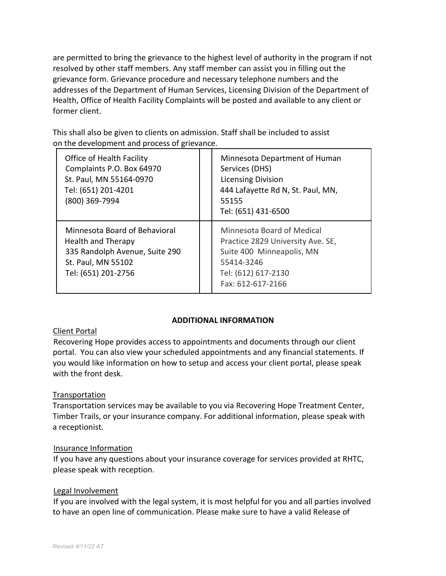are permitted to bring the grievance to the highest level of authority in the program if not resolved by other staff members. Any staff member can assist you in filling out the grievance form. Grievance procedure and necessary telephone numbers and the addresses of the Department of Human Services, Licensing Division of the Department of Health, Office of Health Facility Complaints will be posted and available to any client or former client.

This shall also be given to clients on admission. Staff shall be included to assist on the development and process of grievance.

| Office of Health Facility<br>Complaints P.O. Box 64970<br>St. Paul, MN 55164-0970<br>Tel: (651) 201-4201<br>(800) 369-7994                | Minnesota Department of Human<br>Services (DHS)<br><b>Licensing Division</b><br>444 Lafayette Rd N, St. Paul, MN,<br>55155<br>Tel: (651) 431-6500      |
|-------------------------------------------------------------------------------------------------------------------------------------------|--------------------------------------------------------------------------------------------------------------------------------------------------------|
| Minnesota Board of Behavioral<br><b>Health and Therapy</b><br>335 Randolph Avenue, Suite 290<br>St. Paul, MN 55102<br>Tel: (651) 201-2756 | Minnesota Board of Medical<br>Practice 2829 University Ave. SE,<br>Suite 400 Minneapolis, MN<br>55414-3246<br>Tel: (612) 617-2130<br>Fax: 612-617-2166 |

# **ADDITIONAL INFORMATION**

# Client Portal

Recovering Hope provides access to appointments and documents through our client portal. You can also view your scheduled appointments and any financial statements. If you would like information on how to setup and access your client portal, please speak with the front desk.

# Transportation

Transportation services may be available to you via Recovering Hope Treatment Center, Timber Trails, or your insurance company. For additional information, please speak with a receptionist.

# Insurance Information

If you have any questions about your insurance coverage for services provided at RHTC, please speak with reception.

# Legal Involvement

If you are involved with the legal system, it is most helpful for you and all parties involved to have an open line of communication. Please make sure to have a valid Release of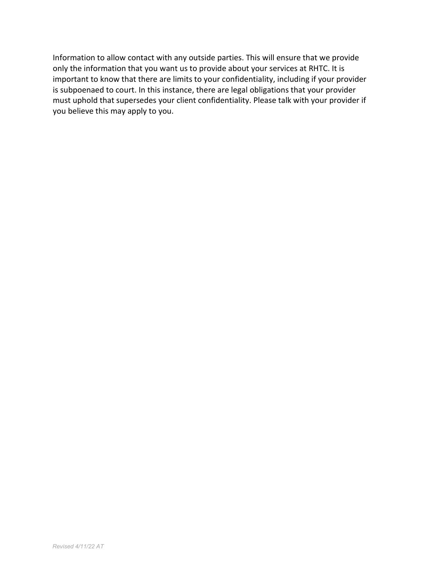Information to allow contact with any outside parties. This will ensure that we provide only the information that you want us to provide about your services at RHTC. It is important to know that there are limits to your confidentiality, including if your provider is subpoenaed to court. In this instance, there are legal obligations that your provider must uphold that supersedes your client confidentiality. Please talk with your provider if you believe this may apply to you.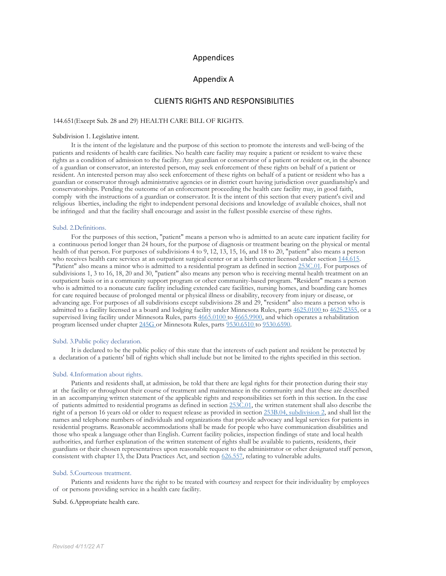#### Appendices

#### Appendix A

#### CLIENTS RIGHTS AND RESPONSIBILITIES

#### 144.651(Except Sub. 28 and 29) HEALTH CARE BILL OF RIGHTS.

#### Subdivision 1. Legislative intent.

It is the intent of the legislature and the purpose of this section to promote the interests and well-being of the patients and residents of health care facilities. No health care facility may require a patient or resident to waive these rights as a condition of admission to the facility. Any guardian or conservator of a patient or resident or, in the absence of a guardian or conservator, an interested person, may seek enforcement of these rights on behalf of a patient or resident. An interested person may also seek enforcement of these rights on behalf of a patient or resident who has a guardian or conservator through administrative agencies or in district court having jurisdiction over guardianship's and conservatorships. Pending the outcome of an enforcement proceeding the health care facility may, in good faith, comply with the instructions of a guardian or conservator. It is the intent of this section that every patient's civil and religious liberties, including the right to independent personal decisions and knowledge of available choices, shall not be infringed and that the facility shall encourage and assist in the fullest possible exercise of these rights.

#### Subd. 2.Definitions.

For the purposes of this section, "patient" means a person who is admitted to an acute care inpatient facility for a continuous period longer than 24 hours, for the purpose of diagnosis or treatment bearing on the physical or mental health of that person. For purposes of subdivisions 4 to 9, 12, 13, 15, 16, and 18 to 20, "patient" also means a person who receives health care services at an outpatient surgical center or at a birth center licensed under section 144.615. "Patient" also means a minor who is admitted to a residential program as defined in section 253C.01. For purposes of subdivisions 1, 3 to 16, 18, 20 and 30, "patient" also means any person who is receiving mental health treatment on an outpatient basis or in a community support program or other community-based program. "Resident" means a person who is admitted to a nonacute care facility including extended care facilities, nursing homes, and boarding care homes for care required because of prolonged mental or physical illness or disability, recovery from injury or disease, or advancing age. For purposes of all subdivisions except subdivisions 28 and 29, "resident" also means a person who is admitted to a facility licensed as a board and lodging facility under Minnesota Rules, parts 4625.0100 to 4625.2355, or a supervised living facility under Minnesota Rules, parts 4665.0100 to 4665.9900, and which operates a rehabilitation program licensed under chapter 245G or Minnesota Rules, parts 9530.6510 to 9530.6590.

#### Subd. 3.Public policy declaration.

It is declared to be the public policy of this state that the interests of each patient and resident be protected by a declaration of a patients' bill of rights which shall include but not be limited to the rights specified in this section.

#### Subd. 4.Information about rights.

Patients and residents shall, at admission, be told that there are legal rights for their protection during their stay at the facility or throughout their course of treatment and maintenance in the community and that these are described in an accompanying written statement of the applicable rights and responsibilities set forth in this section. In the case of patients admitted to residential programs as defined in section 253C.01, the written statement shall also describe the right of a person 16 years old or older to request release as provided in section 253B.04, subdivision 2, and shall list the names and telephone numbers of individuals and organizations that provide advocacy and legal services for patients in residential programs. Reasonable accommodations shall be made for people who have communication disabilities and those who speak a language other than English. Current facility policies, inspection findings of state and local health authorities, and further explanation of the written statement of rights shall be available to patients, residents, their guardians or their chosen representatives upon reasonable request to the administrator or other designated staff person, consistent with chapter 13, the Data Practices Act, and section 626.557, relating to vulnerable adults.

#### Subd. 5.Courteous treatment.

Patients and residents have the right to be treated with courtesy and respect for their individuality by employees of or persons providing service in a health care facility.

#### Subd. 6.Appropriate health care.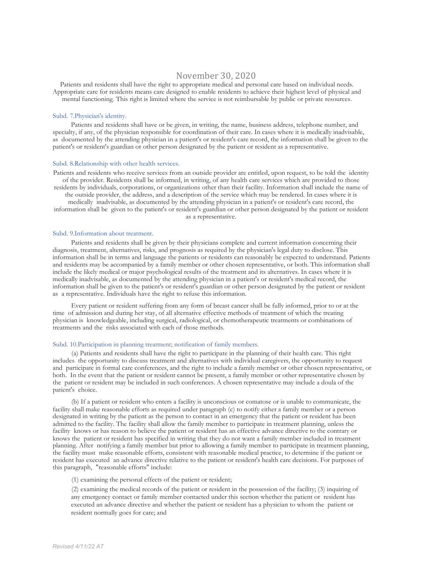### November 30, 2020

Patients and residents shall have the right to appropriate medical and personal care based on individual needs. Appropriate care for residents means care designed to enable residents to achieve their highest level of physical and mental functioning. This right is limited where the service is not reimbursable by public or private resources.

#### Subd. 7.Physician's identity.

Patients and residents shall have or be given, in writing, the name, business address, telephone number, and specialty, if any, of the physician responsible for coordination of their care. In cases where it is medically inadvisable, as documented by the attending physician in a patient's or resident's care record, the information shall be given to the patient's or resident's guardian or other person designated by the patient or resident as a representative.

#### Subd. 8.Relationship with other health services.

Patients and residents who receive services from an outside provider are entitled, upon request, to be told the identity of the provider. Residents shall be informed, in writing, of any health care services which are provided to those residents by individuals, corporations, or organizations other than their facility. Information shall include the name of the outside provider, the address, and a description of the service which may be rendered. In cases where it is medically inadvisable, as documented by the attending physician in a patient's or resident's care record, the information shall be given to the patient's or resident's guardian or other person designated by the patient or resident as a representative.

### Subd. 9.Information about treatment.

Patients and residents shall be given by their physicians complete and current information concerning their diagnosis, treatment, alternatives, risks, and prognosis as required by the physician's legal duty to disclose. This information shall be in terms and language the patients or residents can reasonably be expected to understand. Patients and residents may be accompanied by a family member or other chosen representative, or both. This information shall include the likely medical or major psychological results of the treatment and its alternatives. In cases where it is medically inadvisable, as documented by the attending physician in a patient's or resident's medical record, the information shall be given to the patient's or resident's guardian or other person designated by the patient or resident as a representative. Individuals have the right to refuse this information.

Every patient or resident suffering from any form of breast cancer shall be fully informed, prior to or at the time of admission and during her stay, of all alternative effective methods of treatment of which the treating physician is knowledgeable, including surgical, radiological, or chemotherapeutic treatments or combinations of treatments and the risks associated with each of those methods.

#### Subd. 10.Participation in planning treatment; notification of family members.

(a) Patients and residents shall have the right to participate in the planning of their health care. This right includes the opportunity to discuss treatment and alternatives with individual caregivers, the opportunity to request and participate in formal care conferences, and the right to include a family member or other chosen representative, or both. In the event that the patient or resident cannot be present, a family member or other representative chosen by the patient or resident may be included in such conferences. A chosen representative may include a doula of the patient's choice.

(b) If a patient or resident who enters a facility is unconscious or comatose or is unable to communicate, the facility shall make reasonable efforts as required under paragraph (c) to notify either a family member or a person designated in writing by the patient as the person to contact in an emergency that the patient or resident has been admitted to the facility. The facility shall allow the family member to participate in treatment planning, unless the facility knows or has reason to believe the patient or resident has an effective advance directive to the contrary or knows the patient or resident has specified in writing that they do not want a family member included in treatment planning. After notifying a family member but prior to allowing a family member to participate in treatment planning, the facility must make reasonable efforts, consistent with reasonable medical practice, to determine if the patient or resident has executed an advance directive relative to the patient or resident's health care decisions. For purposes of this paragraph, "reasonable efforts" include:

(1) examining the personal effects of the patient or resident;

(2) examining the medical records of the patient or resident in the possession of the facility; (3) inquiring of any emergency contact or family member contacted under this section whether the patient or resident has executed an advance directive and whether the patient or resident has a physician to whom the patient or resident normally goes for care; and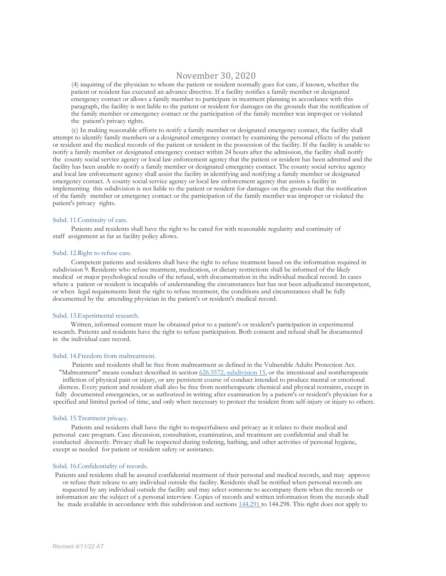### November 30, 2020

(4) inquiring of the physician to whom the patient or resident normally goes for care, if known, whether the patient or resident has executed an advance directive. If a facility notifies a family member or designated emergency contact or allows a family member to participate in treatment planning in accordance with this paragraph, the facility is not liable to the patient or resident for damages on the grounds that the notification of the family member or emergency contact or the participation of the family member was improper or violated the patient's privacy rights.

(c) In making reasonable efforts to notify a family member or designated emergency contact, the facility shall attempt to identify family members or a designated emergency contact by examining the personal effects of the patient or resident and the medical records of the patient or resident in the possession of the facility. If the facility is unable to notify a family member or designated emergency contact within 24 hours after the admission, the facility shall notify the county social service agency or local law enforcement agency that the patient or resident has been admitted and the facility has been unable to notify a family member or designated emergency contact. The county social service agency and local law enforcement agency shall assist the facility in identifying and notifying a family member or designated emergency contact. A county social service agency or local law enforcement agency that assists a facility in implementing this subdivision is not liable to the patient or resident for damages on the grounds that the notification of the family member or emergency contact or the participation of the family member was improper or violated the patient's privacy rights.

#### Subd. 11.Continuity of care.

Patients and residents shall have the right to be cared for with reasonable regularity and continuity of staff assignment as far as facility policy allows.

#### Subd. 12.Right to refuse care.

Competent patients and residents shall have the right to refuse treatment based on the information required in subdivision 9. Residents who refuse treatment, medication, or dietary restrictions shall be informed of the likely medical or major psychological results of the refusal, with documentation in the individual medical record. In cases where a patient or resident is incapable of understanding the circumstances but has not been adjudicated incompetent, or when legal requirements limit the right to refuse treatment, the conditions and circumstances shall be fully documented by the attending physician in the patient's or resident's medical record.

#### Subd. 13.Experimental research.

Written, informed consent must be obtained prior to a patient's or resident's participation in experimental research. Patients and residents have the right to refuse participation. Both consent and refusal shall be documented in the individual care record.

#### Subd. 14.Freedom from maltreatment.

Patients and residents shall be free from maltreatment as defined in the Vulnerable Adults Protection Act. "Maltreatment" means conduct described in section 626.5572, subdivision 15, or the intentional and nontherapeutic infliction of physical pain or injury, or any persistent course of conduct intended to produce mental or emotional distress. Every patient and resident shall also be free from nontherapeutic chemical and physical restraints, except in fully documented emergencies, or as authorized in writing after examination by a patient's or resident's physician for a specified and limited period of time, and only when necessary to protect the resident from self-injury or injury to others.

#### Subd. 15.Treatment privacy.

Patients and residents shall have the right to respectfulness and privacy as it relates to their medical and personal care program. Case discussion, consultation, examination, and treatment are confidential and shall be conducted discreetly. Privacy shall be respected during toileting, bathing, and other activities of personal hygiene, except as needed for patient or resident safety or assistance.

#### Subd. 16.Confidentiality of records.

Patients and residents shall be assured confidential treatment of their personal and medical records, and may approve or refuse their release to any individual outside the facility. Residents shall be notified when personal records are requested by any individual outside the facility and may select someone to accompany them when the records or information are the subject of a personal interview. Copies of records and written information from the records shall be made available in accordance with this subdivision and sections 144.291 to 144.298. This right does not apply to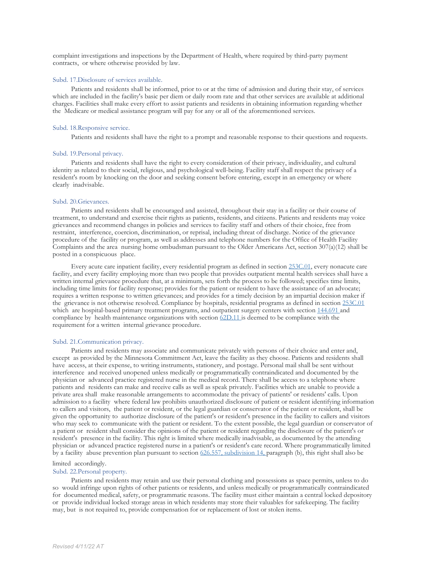complaint investigations and inspections by the Department of Health, where required by third-party payment contracts, or where otherwise provided by law.

#### Subd. 17.Disclosure of services available.

Patients and residents shall be informed, prior to or at the time of admission and during their stay, of services which are included in the facility's basic per diem or daily room rate and that other services are available at additional charges. Facilities shall make every effort to assist patients and residents in obtaining information regarding whether the Medicare or medical assistance program will pay for any or all of the aforementioned services.

#### Subd. 18.Responsive service.

Patients and residents shall have the right to a prompt and reasonable response to their questions and requests.

#### Subd. 19.Personal privacy.

Patients and residents shall have the right to every consideration of their privacy, individuality, and cultural identity as related to their social, religious, and psychological well-being. Facility staff shall respect the privacy of a resident's room by knocking on the door and seeking consent before entering, except in an emergency or where clearly inadvisable.

#### Subd. 20.Grievances.

Patients and residents shall be encouraged and assisted, throughout their stay in a facility or their course of treatment, to understand and exercise their rights as patients, residents, and citizens. Patients and residents may voice grievances and recommend changes in policies and services to facility staff and others of their choice, free from restraint, interference, coercion, discrimination, or reprisal, including threat of discharge. Notice of the grievance procedure of the facility or program, as well as addresses and telephone numbers for the Office of Health Facility Complaints and the area nursing home ombudsman pursuant to the Older Americans Act, section 307(a)(12) shall be posted in a conspicuous place.

Every acute care inpatient facility, every residential program as defined in section 253C.01, every nonacute care facility, and every facility employing more than two people that provides outpatient mental health services shall have a written internal grievance procedure that, at a minimum, sets forth the process to be followed; specifies time limits, including time limits for facility response; provides for the patient or resident to have the assistance of an advocate; requires a written response to written grievances; and provides for a timely decision by an impartial decision maker if the grievance is not otherwise resolved. Compliance by hospitals, residential programs as defined in section 253C.01 which are hospital-based primary treatment programs, and outpatient surgery centers with section 144.691 and compliance by health maintenance organizations with section 62D.11 is deemed to be compliance with the requirement for a written internal grievance procedure.

#### Subd. 21.Communication privacy.

Patients and residents may associate and communicate privately with persons of their choice and enter and, except as provided by the Minnesota Commitment Act, leave the facility as they choose. Patients and residents shall have access, at their expense, to writing instruments, stationery, and postage. Personal mail shall be sent without interference and received unopened unless medically or programmatically contraindicated and documented by the physician or advanced practice registered nurse in the medical record. There shall be access to a telephone where patients and residents can make and receive calls as well as speak privately. Facilities which are unable to provide a private area shall make reasonable arrangements to accommodate the privacy of patients' or residents' calls. Upon admission to a facility where federal law prohibits unauthorized disclosure of patient or resident identifying information to callers and visitors, the patient or resident, or the legal guardian or conservator of the patient or resident, shall be given the opportunity to authorize disclosure of the patient's or resident's presence in the facility to callers and visitors who may seek to communicate with the patient or resident. To the extent possible, the legal guardian or conservator of a patient or resident shall consider the opinions of the patient or resident regarding the disclosure of the patient's or resident's presence in the facility. This right is limited where medically inadvisable, as documented by the attending physician or advanced practice registered nurse in a patient's or resident's care record. Where programmatically limited by a facility abuse prevention plan pursuant to section 626.557, subdivision 14, paragraph (b), this right shall also be

#### limited accordingly.

#### Subd. 22.Personal property.

Patients and residents may retain and use their personal clothing and possessions as space permits, unless to do so would infringe upon rights of other patients or residents, and unless medically or programmatically contraindicated for documented medical, safety, or programmatic reasons. The facility must either maintain a central locked depository or provide individual locked storage areas in which residents may store their valuables for safekeeping. The facility may, but is not required to, provide compensation for or replacement of lost or stolen items.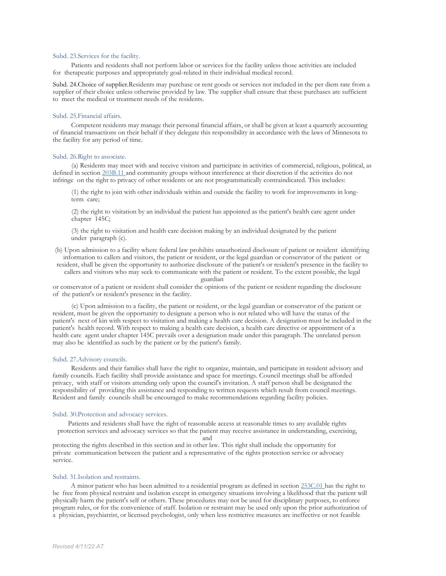#### Subd. 23.Services for the facility.

Patients and residents shall not perform labor or services for the facility unless those activities are included for therapeutic purposes and appropriately goal-related in their individual medical record.

Subd. 24.Choice of supplier.Residents may purchase or rent goods or services not included in the per diem rate from a supplier of their choice unless otherwise provided by law. The supplier shall ensure that these purchases are sufficient to meet the medical or treatment needs of the residents.

#### Subd. 25.Financial affairs.

Competent residents may manage their personal financial affairs, or shall be given at least a quarterly accounting of financial transactions on their behalf if they delegate this responsibility in accordance with the laws of Minnesota to the facility for any period of time.

#### Subd. 26.Right to associate.

(a) Residents may meet with and receive visitors and participate in activities of commercial, religious, political, as defined in section 203B.11 and community groups without interference at their discretion if the activities do not infringe on the right to privacy of other residents or are not programmatically contraindicated. This includes:

(1) the right to join with other individuals within and outside the facility to work for improvements in longterm care;

(2) the right to visitation by an individual the patient has appointed as the patient's health care agent under chapter 145C;

(3) the right to visitation and health care decision making by an individual designated by the patient under paragraph (c).

(b) Upon admission to a facility where federal law prohibits unauthorized disclosure of patient or resident identifying information to callers and visitors, the patient or resident, or the legal guardian or conservator of the patient or

resident, shall be given the opportunity to authorize disclosure of the patient's or resident's presence in the facility to callers and visitors who may seek to communicate with the patient or resident. To the extent possible, the legal

guardian

or conservator of a patient or resident shall consider the opinions of the patient or resident regarding the disclosure of the patient's or resident's presence in the facility.

(c) Upon admission to a facility, the patient or resident, or the legal guardian or conservator of the patient or resident, must be given the opportunity to designate a person who is not related who will have the status of the patient's next of kin with respect to visitation and making a health care decision. A designation must be included in the patient's health record. With respect to making a health care decision, a health care directive or appointment of a health care agent under chapter 145C prevails over a designation made under this paragraph. The unrelated person may also be identified as such by the patient or by the patient's family.

#### Subd. 27.Advisory councils.

Residents and their families shall have the right to organize, maintain, and participate in resident advisory and family councils. Each facility shall provide assistance and space for meetings. Council meetings shall be afforded privacy, with staff or visitors attending only upon the council's invitation. A staff person shall be designated the responsibility of providing this assistance and responding to written requests which result from council meetings. Resident and family councils shall be encouraged to make recommendations regarding facility policies.

#### Subd. 30.Protection and advocacy services.

Patients and residents shall have the right of reasonable access at reasonable times to any available rights protection services and advocacy services so that the patient may receive assistance in understanding, exercising,

and

protecting the rights described in this section and in other law. This right shall include the opportunity for private communication between the patient and a representative of the rights protection service or advocacy service.

#### Subd. 31.Isolation and restraints.

A minor patient who has been admitted to a residential program as defined in section 253C.01 has the right to be free from physical restraint and isolation except in emergency situations involving a likelihood that the patient will physically harm the patient's self or others. These procedures may not be used for disciplinary purposes, to enforce program rules, or for the convenience of staff. Isolation or restraint may be used only upon the prior authorization of a physician, psychiatrist, or licensed psychologist, only when less restrictive measures are ineffective or not feasible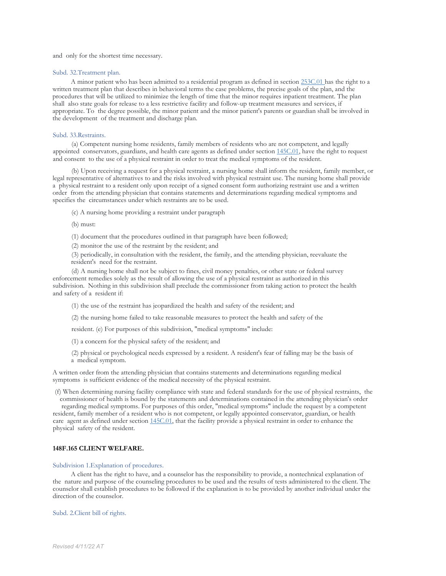and only for the shortest time necessary.

#### Subd. 32.Treatment plan.

A minor patient who has been admitted to a residential program as defined in section 253C.01 has the right to a written treatment plan that describes in behavioral terms the case problems, the precise goals of the plan, and the procedures that will be utilized to minimize the length of time that the minor requires inpatient treatment. The plan shall also state goals for release to a less restrictive facility and follow-up treatment measures and services, if appropriate. To the degree possible, the minor patient and the minor patient's parents or guardian shall be involved in the development of the treatment and discharge plan.

#### Subd. 33.Restraints.

(a) Competent nursing home residents, family members of residents who are not competent, and legally appointed conservators, guardians, and health care agents as defined under section 145C.01, have the right to request and consent to the use of a physical restraint in order to treat the medical symptoms of the resident.

(b) Upon receiving a request for a physical restraint, a nursing home shall inform the resident, family member, or legal representative of alternatives to and the risks involved with physical restraint use. The nursing home shall provide a physical restraint to a resident only upon receipt of a signed consent form authorizing restraint use and a written order from the attending physician that contains statements and determinations regarding medical symptoms and specifies the circumstances under which restraints are to be used.

- (c) A nursing home providing a restraint under paragraph
- (b) must:

(1) document that the procedures outlined in that paragraph have been followed;

(2) monitor the use of the restraint by the resident; and

(3) periodically, in consultation with the resident, the family, and the attending physician, reevaluate the resident's need for the restraint.

(d) A nursing home shall not be subject to fines, civil money penalties, or other state or federal survey enforcement remedies solely as the result of allowing the use of a physical restraint as authorized in this subdivision. Nothing in this subdivision shall preclude the commissioner from taking action to protect the health and safety of a resident if:

(1) the use of the restraint has jeopardized the health and safety of the resident; and

(2) the nursing home failed to take reasonable measures to protect the health and safety of the

resident. (e) For purposes of this subdivision, "medical symptoms" include:

(1) a concern for the physical safety of the resident; and

(2) physical or psychological needs expressed by a resident. A resident's fear of falling may be the basis of a medical symptom.

A written order from the attending physician that contains statements and determinations regarding medical symptoms is sufficient evidence of the medical necessity of the physical restraint.

(f) When determining nursing facility compliance with state and federal standards for the use of physical restraints, the commissioner of health is bound by the statements and determinations contained in the attending physician's order

regarding medical symptoms. For purposes of this order, "medical symptoms" include the request by a competent resident, family member of a resident who is not competent, or legally appointed conservator, guardian, or health care agent as defined under section 145C.01, that the facility provide a physical restraint in order to enhance the physical safety of the resident.

#### **148F.165 CLIENT WELFARE.**

#### Subdivision 1.Explanation of procedures.

A client has the right to have, and a counselor has the responsibility to provide, a nontechnical explanation of the nature and purpose of the counseling procedures to be used and the results of tests administered to the client. The counselor shall establish procedures to be followed if the explanation is to be provided by another individual under the direction of the counselor.

Subd. 2.Client bill of rights.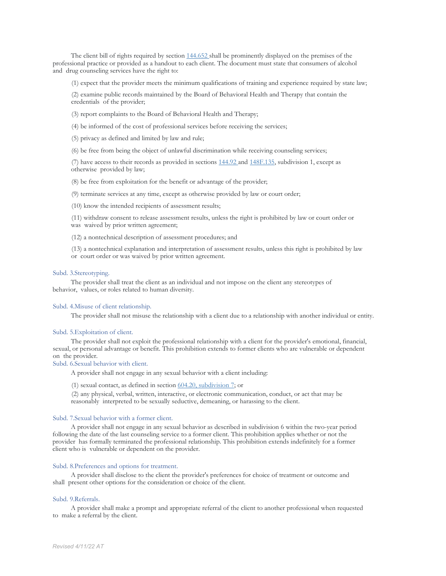The client bill of rights required by section  $144.652$  shall be prominently displayed on the premises of the professional practice or provided as a handout to each client. The document must state that consumers of alcohol and drug counseling services have the right to:

(1) expect that the provider meets the minimum qualifications of training and experience required by state law;

(2) examine public records maintained by the Board of Behavioral Health and Therapy that contain the credentials of the provider;

- (3) report complaints to the Board of Behavioral Health and Therapy;
- (4) be informed of the cost of professional services before receiving the services;
- (5) privacy as defined and limited by law and rule;

(6) be free from being the object of unlawful discrimination while receiving counseling services;

(7) have access to their records as provided in sections 144.92 and 148F.135, subdivision 1, except as otherwise provided by law;

(8) be free from exploitation for the benefit or advantage of the provider;

(9) terminate services at any time, except as otherwise provided by law or court order;

(10) know the intended recipients of assessment results;

(11) withdraw consent to release assessment results, unless the right is prohibited by law or court order or was waived by prior written agreement;

(12) a nontechnical description of assessment procedures; and

(13) a nontechnical explanation and interpretation of assessment results, unless this right is prohibited by law or court order or was waived by prior written agreement.

#### Subd. 3.Stereotyping.

The provider shall treat the client as an individual and not impose on the client any stereotypes of behavior, values, or roles related to human diversity.

#### Subd. 4.Misuse of client relationship.

The provider shall not misuse the relationship with a client due to a relationship with another individual or entity.

#### Subd. 5.Exploitation of client.

The provider shall not exploit the professional relationship with a client for the provider's emotional, financial, sexual, or personal advantage or benefit. This prohibition extends to former clients who are vulnerable or dependent

#### Subd. 6.Sexual behavior with client.

A provider shall not engage in any sexual behavior with a client including:

(1) sexual contact, as defined in section  $604.20$ , subdivision 7; or

(2) any physical, verbal, written, interactive, or electronic communication, conduct, or act that may be reasonably interpreted to be sexually seductive, demeaning, or harassing to the client.

#### Subd. 7.Sexual behavior with a former client.

A provider shall not engage in any sexual behavior as described in subdivision 6 within the two-year period following the date of the last counseling service to a former client. This prohibition applies whether or not the provider has formally terminated the professional relationship. This prohibition extends indefinitely for a former client who is vulnerable or dependent on the provider.

#### Subd. 8.Preferences and options for treatment.

A provider shall disclose to the client the provider's preferences for choice of treatment or outcome and shall present other options for the consideration or choice of the client.

#### Subd. 9.Referrals.

A provider shall make a prompt and appropriate referral of the client to another professional when requested to make a referral by the client.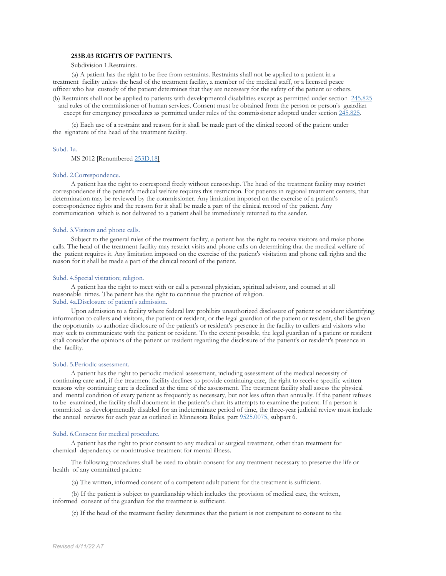#### **253B.03 RIGHTS OF PATIENTS.**

#### Subdivision 1.Restraints.

(a) A patient has the right to be free from restraints. Restraints shall not be applied to a patient in a treatment facility unless the head of the treatment facility, a member of the medical staff, or a licensed peace officer who has custody of the patient determines that they are necessary for the safety of the patient or others.

(b) Restraints shall not be applied to patients with developmental disabilities except as permitted under section 245.825 and rules of the commissioner of human services. Consent must be obtained from the person or person's guardian

except for emergency procedures as permitted under rules of the commissioner adopted under section 245.825.

(c) Each use of a restraint and reason for it shall be made part of the clinical record of the patient under the signature of the head of the treatment facility.

#### Subd. 1a.

MS 2012 [Renumbered 253D.18]

#### Subd. 2.Correspondence.

A patient has the right to correspond freely without censorship. The head of the treatment facility may restrict correspondence if the patient's medical welfare requires this restriction. For patients in regional treatment centers, that determination may be reviewed by the commissioner. Any limitation imposed on the exercise of a patient's correspondence rights and the reason for it shall be made a part of the clinical record of the patient. Any communication which is not delivered to a patient shall be immediately returned to the sender.

#### Subd. 3.Visitors and phone calls.

Subject to the general rules of the treatment facility, a patient has the right to receive visitors and make phone calls. The head of the treatment facility may restrict visits and phone calls on determining that the medical welfare of the patient requires it. Any limitation imposed on the exercise of the patient's visitation and phone call rights and the reason for it shall be made a part of the clinical record of the patient.

#### Subd. 4.Special visitation; religion.

A patient has the right to meet with or call a personal physician, spiritual advisor, and counsel at all reasonable times. The patient has the right to continue the practice of religion. Subd. 4a.Disclosure of patient's admission.

Upon admission to a facility where federal law prohibits unauthorized disclosure of patient or resident identifying information to callers and visitors, the patient or resident, or the legal guardian of the patient or resident, shall be given the opportunity to authorize disclosure of the patient's or resident's presence in the facility to callers and visitors who may seek to communicate with the patient or resident. To the extent possible, the legal guardian of a patient or resident shall consider the opinions of the patient or resident regarding the disclosure of the patient's or resident's presence in the facility.

#### Subd. 5.Periodic assessment.

A patient has the right to periodic medical assessment, including assessment of the medical necessity of continuing care and, if the treatment facility declines to provide continuing care, the right to receive specific written reasons why continuing care is declined at the time of the assessment. The treatment facility shall assess the physical and mental condition of every patient as frequently as necessary, but not less often than annually. If the patient refuses to be examined, the facility shall document in the patient's chart its attempts to examine the patient. If a person is committed as developmentally disabled for an indeterminate period of time, the three-year judicial review must include the annual reviews for each year as outlined in Minnesota Rules, part 9525.0075, subpart 6.

#### Subd. 6.Consent for medical procedure.

A patient has the right to prior consent to any medical or surgical treatment, other than treatment for chemical dependency or nonintrusive treatment for mental illness.

The following procedures shall be used to obtain consent for any treatment necessary to preserve the life or health of any committed patient:

(a) The written, informed consent of a competent adult patient for the treatment is sufficient.

(b) If the patient is subject to guardianship which includes the provision of medical care, the written, informed consent of the guardian for the treatment is sufficient.

(c) If the head of the treatment facility determines that the patient is not competent to consent to the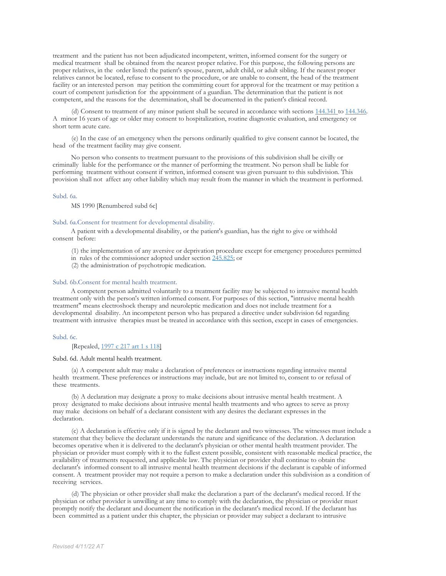treatment and the patient has not been adjudicated incompetent, written, informed consent for the surgery or medical treatment shall be obtained from the nearest proper relative. For this purpose, the following persons are proper relatives, in the order listed: the patient's spouse, parent, adult child, or adult sibling. If the nearest proper relatives cannot be located, refuse to consent to the procedure, or are unable to consent, the head of the treatment facility or an interested person may petition the committing court for approval for the treatment or may petition a court of competent jurisdiction for the appointment of a guardian. The determination that the patient is not competent, and the reasons for the determination, shall be documented in the patient's clinical record.

(d) Consent to treatment of any minor patient shall be secured in accordance with sections 144.341 to 144.346. A minor 16 years of age or older may consent to hospitalization, routine diagnostic evaluation, and emergency or short term acute care.

(e) In the case of an emergency when the persons ordinarily qualified to give consent cannot be located, the head of the treatment facility may give consent.

No person who consents to treatment pursuant to the provisions of this subdivision shall be civilly or criminally liable for the performance or the manner of performing the treatment. No person shall be liable for performing treatment without consent if written, informed consent was given pursuant to this subdivision. This provision shall not affect any other liability which may result from the manner in which the treatment is performed.

#### Subd. 6a.

MS 1990 [Renumbered subd 6c]

#### Subd. 6a.Consent for treatment for developmental disability.

A patient with a developmental disability, or the patient's guardian, has the right to give or withhold consent before:

- (1) the implementation of any aversive or deprivation procedure except for emergency procedures permitted
- in rules of the commissioner adopted under section 245.825; or

(2) the administration of psychotropic medication.

#### Subd. 6b.Consent for mental health treatment.

A competent person admitted voluntarily to a treatment facility may be subjected to intrusive mental health treatment only with the person's written informed consent. For purposes of this section, "intrusive mental health treatment" means electroshock therapy and neuroleptic medication and does not include treatment for a developmental disability. An incompetent person who has prepared a directive under subdivision 6d regarding treatment with intrusive therapies must be treated in accordance with this section, except in cases of emergencies.

#### Subd. 6c.

#### [Repealed, 1997 c 217 art 1 s 118]

#### Subd. 6d. Adult mental health treatment.

(a) A competent adult may make a declaration of preferences or instructions regarding intrusive mental health treatment. These preferences or instructions may include, but are not limited to, consent to or refusal of these treatments.

(b) A declaration may designate a proxy to make decisions about intrusive mental health treatment. A proxy designated to make decisions about intrusive mental health treatments and who agrees to serve as proxy may make decisions on behalf of a declarant consistent with any desires the declarant expresses in the declaration.

(c) A declaration is effective only if it is signed by the declarant and two witnesses. The witnesses must include a statement that they believe the declarant understands the nature and significance of the declaration. A declaration becomes operative when it is delivered to the declarant's physician or other mental health treatment provider. The physician or provider must comply with it to the fullest extent possible, consistent with reasonable medical practice, the availability of treatments requested, and applicable law. The physician or provider shall continue to obtain the declarant's informed consent to all intrusive mental health treatment decisions if the declarant is capable of informed consent. A treatment provider may not require a person to make a declaration under this subdivision as a condition of receiving services.

(d) The physician or other provider shall make the declaration a part of the declarant's medical record. If the physician or other provider is unwilling at any time to comply with the declaration, the physician or provider must promptly notify the declarant and document the notification in the declarant's medical record. If the declarant has been committed as a patient under this chapter, the physician or provider may subject a declarant to intrusive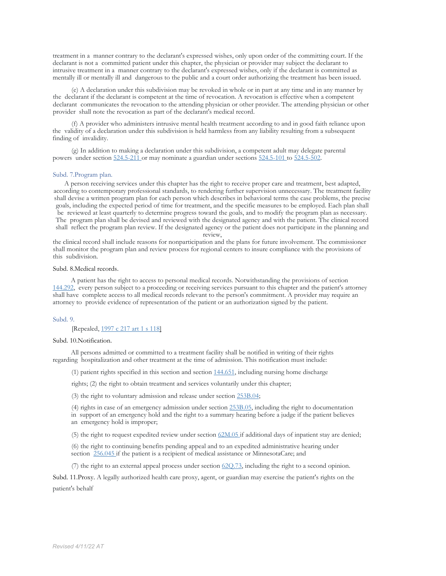treatment in a manner contrary to the declarant's expressed wishes, only upon order of the committing court. If the declarant is not a committed patient under this chapter, the physician or provider may subject the declarant to intrusive treatment in a manner contrary to the declarant's expressed wishes, only if the declarant is committed as mentally ill or mentally ill and dangerous to the public and a court order authorizing the treatment has been issued.

(e) A declaration under this subdivision may be revoked in whole or in part at any time and in any manner by the declarant if the declarant is competent at the time of revocation. A revocation is effective when a competent declarant communicates the revocation to the attending physician or other provider. The attending physician or other provider shall note the revocation as part of the declarant's medical record.

(f) A provider who administers intrusive mental health treatment according to and in good faith reliance upon the validity of a declaration under this subdivision is held harmless from any liability resulting from a subsequent finding of invalidity.

(g) In addition to making a declaration under this subdivision, a competent adult may delegate parental powers under section 524.5-211 or may nominate a guardian under sections 524.5-101 to 524.5-502.

#### Subd. 7.Program plan.

A person receiving services under this chapter has the right to receive proper care and treatment, best adapted, according to contemporary professional standards, to rendering further supervision unnecessary. The treatment facility shall devise a written program plan for each person which describes in behavioral terms the case problems, the precise goals, including the expected period of time for treatment, and the specific measures to be employed. Each plan shall be reviewed at least quarterly to determine progress toward the goals, and to modify the program plan as necessary. The program plan shall be devised and reviewed with the designated agency and with the patient. The clinical record shall reflect the program plan review. If the designated agency or the patient does not participate in the planning and

review,

the clinical record shall include reasons for nonparticipation and the plans for future involvement. The commissioner shall monitor the program plan and review process for regional centers to insure compliance with the provisions of this subdivision.

#### Subd. 8.Medical records.

A patient has the right to access to personal medical records. Notwithstanding the provisions of section 144.292, every person subject to a proceeding or receiving services pursuant to this chapter and the patient's attorney shall have complete access to all medical records relevant to the person's commitment. A provider may require an attorney to provide evidence of representation of the patient or an authorization signed by the patient.

#### Subd. 9.

[Repealed, 1997 c 217 art 1 s 118]

#### Subd. 10.Notification.

All persons admitted or committed to a treatment facility shall be notified in writing of their rights regarding hospitalization and other treatment at the time of admission. This notification must include:

(1) patient rights specified in this section and section 144.651, including nursing home discharge

rights; (2) the right to obtain treatment and services voluntarily under this chapter;

(3) the right to voluntary admission and release under section 253B.04;

(4) rights in case of an emergency admission under section 253B.05, including the right to documentation in support of an emergency hold and the right to a summary hearing before a judge if the patient believes

an emergency hold is improper;

(5) the right to request expedited review under section 62M.05 if additional days of inpatient stay are denied;

(6) the right to continuing benefits pending appeal and to an expedited administrative hearing under section 256.045 if the patient is a recipient of medical assistance or MinnesotaCare; and

(7) the right to an external appeal process under section  $620.73$ , including the right to a second opinion.

Subd. 11.Proxy. A legally authorized health care proxy, agent, or guardian may exercise the patient's rights on the patient's behalf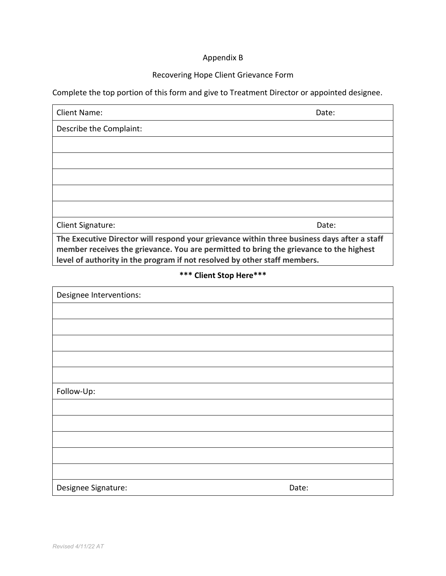# Appendix B

# Recovering Hope Client Grievance Form

Complete the top portion of this form and give to Treatment Director or appointed designee.

| Client Name:                                                                                                                                                                          | Date: |
|---------------------------------------------------------------------------------------------------------------------------------------------------------------------------------------|-------|
| Describe the Complaint:                                                                                                                                                               |       |
|                                                                                                                                                                                       |       |
|                                                                                                                                                                                       |       |
|                                                                                                                                                                                       |       |
|                                                                                                                                                                                       |       |
|                                                                                                                                                                                       |       |
| <b>Client Signature:</b>                                                                                                                                                              | Date: |
| The Executive Director will respond your grievance within three business days after a staff<br>member receives the grievance. You are permitted to bring the grievance to the highest |       |

**level of authority in the program if not resolved by other staff members.**

**\*\*\* Client Stop Here\*\*\***

| Designee Interventions: |       |
|-------------------------|-------|
|                         |       |
|                         |       |
|                         |       |
|                         |       |
|                         |       |
| Follow-Up:              |       |
|                         |       |
|                         |       |
|                         |       |
|                         |       |
|                         |       |
| Designee Signature:     | Date: |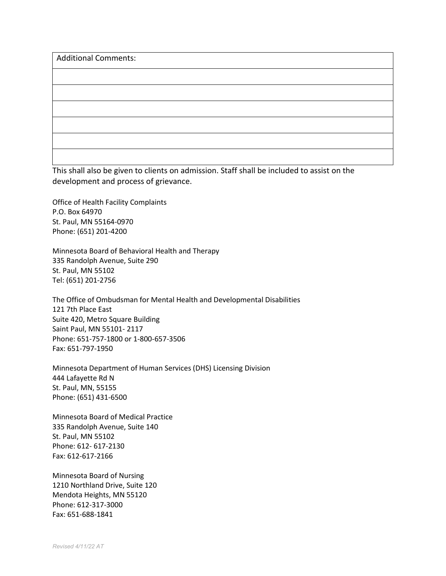| <b>Additional Comments:</b> |  |  |
|-----------------------------|--|--|
|                             |  |  |
|                             |  |  |
|                             |  |  |
|                             |  |  |
|                             |  |  |
|                             |  |  |

This shall also be given to clients on admission. Staff shall be included to assist on the development and process of grievance.

Office of Health Facility Complaints P.O. Box 64970 St. Paul, MN 55164-0970 Phone: (651) 201-4200

Minnesota Board of Behavioral Health and Therapy 335 Randolph Avenue, Suite 290 St. Paul, MN 55102 Tel: (651) 201-2756

The Office of Ombudsman for Mental Health and Developmental Disabilities 121 7th Place East Suite 420, Metro Square Building Saint Paul, MN 55101- 2117 Phone: 651-757-1800 or 1-800-657-3506 Fax: 651-797-1950

Minnesota Department of Human Services (DHS) Licensing Division 444 Lafayette Rd N St. Paul, MN, 55155 Phone: (651) 431-6500

Minnesota Board of Medical Practice 335 Randolph Avenue, Suite 140 St. Paul, MN 55102 Phone: 612- 617-2130 Fax: 612-617-2166

Minnesota Board of Nursing 1210 Northland Drive, Suite 120 Mendota Heights, MN 55120 Phone: 612-317-3000 Fax: 651-688-1841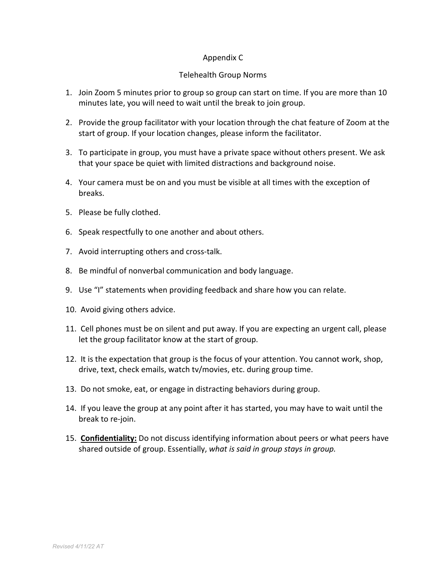# Appendix C

# Telehealth Group Norms

- 1. Join Zoom 5 minutes prior to group so group can start on time. If you are more than 10 minutes late, you will need to wait until the break to join group.
- 2. Provide the group facilitator with your location through the chat feature of Zoom at the start of group. If your location changes, please inform the facilitator.
- 3. To participate in group, you must have a private space without others present. We ask that your space be quiet with limited distractions and background noise.
- 4. Your camera must be on and you must be visible at all times with the exception of breaks.
- 5. Please be fully clothed.
- 6. Speak respectfully to one another and about others.
- 7. Avoid interrupting others and cross-talk.
- 8. Be mindful of nonverbal communication and body language.
- 9. Use "I" statements when providing feedback and share how you can relate.
- 10. Avoid giving others advice.
- 11. Cell phones must be on silent and put away. If you are expecting an urgent call, please let the group facilitator know at the start of group.
- 12. It is the expectation that group is the focus of your attention. You cannot work, shop, drive, text, check emails, watch tv/movies, etc. during group time.
- 13. Do not smoke, eat, or engage in distracting behaviors during group.
- 14. If you leave the group at any point after it has started, you may have to wait until the break to re-join.
- 15. **Confidentiality:** Do not discuss identifying information about peers or what peers have shared outside of group. Essentially, *what is said in group stays in group.*